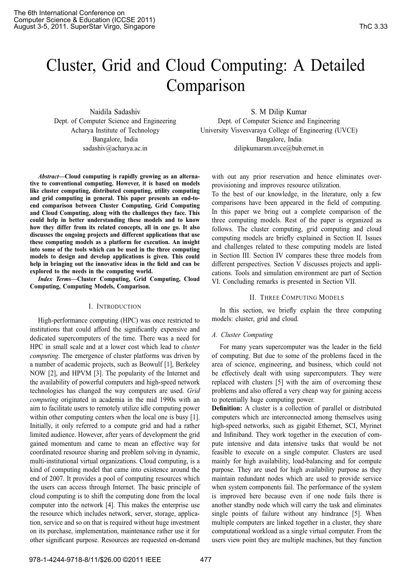# Cluster, Grid and Cloud Computing: A Detailed Comparison

Naidila Sadashiv Dept. of Computer Science and Engineering Acharya Institute of Technology Bangalore, India sadashiv@acharya.ac.in

S. M Dilip Kumar Dept. of Computer Science and Engineering University Visvesvaraya College of Engineering (UVCE) Bangalore, India dilipkumarsm.uvce@bub.ernet.in

*Abstract***—Cloud computing is rapidly growing as an alternative to conventional computing. However, it is based on models like cluster computing, distributed computing, utility computing and grid computing in general. This paper presents an end-toend comparison between Cluster Computing, Grid Computing and Cloud Computing, along with the challenges they face. This could help in better understanding these models and to know how they differ from its related concepts, all in one go. It also discusses the ongoing projects and different applications that use these computing models as a platform for execution. An insight into some of the tools which can be used in the three computing models to design and develop applications is given. This could help in bringing out the innovative ideas in the field and can be explored to the needs in the computing world.**

*Index Terms***—Cluster Computing, Grid Computing, Cloud Computing, Computing Models, Comparison.**

#### I. INTRODUCTION

High-performance computing (HPC) was once restricted to institutions that could afford the significantly expensive and dedicated supercomputers of the time. There was a need for HPC in small scale and at a lower cost which lead to *cluster computing*. The emergence of cluster platforms was driven by a number of academic projects, such as Beowulf [1], Berkeley NOW [2], and HPVM [3]. The popularity of the Internet and the availability of powerful computers and high-speed network technologies has changed the way computers are used. *Grid computing* originated in academia in the mid 1990s with an aim to facilitate users to remotely utilize idle computing power within other computing centers when the local one is busy [1]. Initially, it only referred to a compute grid and had a rather limited audience. However, after years of development the grid gained momentum and came to mean an effective way for coordinated resource sharing and problem solving in dynamic, multi-institutional virtual organizations. Cloud computing, is a kind of computing model that came into existence around the end of 2007. It provides a pool of computing resources which the users can access through Internet. The basic principle of cloud computing is to shift the computing done from the local computer into the network [4]. This makes the enterprise use the resource which includes network, server, storage, application, service and so on that is required without huge investment on its purchase, implementation, maintenance rather use it for other significant purpose. Resources are requested on-demand

with out any prior reservation and hence eliminates overprovisioning and improves resource utilization.

To the best of our knowledge, in the literature, only a few comparisons have been appeared in the field of computing. In this paper we bring out a complete comparison of the three computing models. Rest of the paper is organized as follows. The cluster computing, grid computing and cloud computing models are briefly explained in Section II. Issues and challenges related to these computing models are listed in Section III. Section IV compares these three models from different perspectives. Section V discusses projects and applications. Tools and simulation environment are part of Section VI. Concluding remarks is presented in Section VII.

#### II. THREE COMPUTING MODELS

In this section, we briefly explain the three computing models: cluster, grid and cloud.

#### *A. Cluster Computing*

For many years supercomputer was the leader in the field of computing. But due to some of the problems faced in the area of science, engineering, and business, which could not be effectively dealt with using supercomputers. They were replaced with clusters [5] with the aim of overcoming these problems and also offered a very cheap way for gaining access to potentially huge computing power.

**Definition:** A cluster is a collection of parallel or distributed computers which are interconnected among themselves using high-speed networks, such as gigabit Ethernet, SCI, Myrinet and Infiniband. They work together in the execution of compute intensive and data intensive tasks that would be not feasible to execute on a single computer. Clusters are used mainly for high availability, load-balancing and for compute purpose. They are used for high availability purpose as they maintain redundant nodes which are used to provide service when system components fail. The performance of the system is improved here because even if one node fails there is another standby node which will carry the task and eliminates single points of failure without any hindrance [5]. When multiple computers are linked together in a cluster, they share computational workload as a single virtual computer. From the users view point they are multiple machines, but they function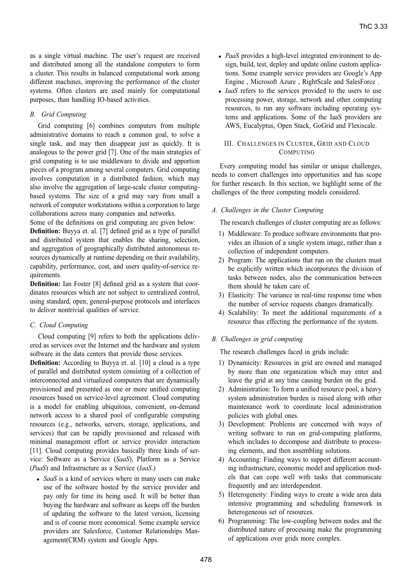as a single virtual machine. The user's request are received and distributed among all the standalone computers to form a cluster. This results in balanced computational work among different machines, improving the performance of the cluster systems. Often clusters are used mainly for computational purposes, than handling IO-based activities.

# *B. Grid Computing*

Grid computing [6] combines computers from multiple administrative domains to reach a common goal, to solve a single task, and may then disappear just as quickly. It is analogous to the power grid [7]. One of the main strategies of grid computing is to use middleware to divide and apportion pieces of a program among several computers. Grid computing involves computation in a distributed fashion, which may also involve the aggregation of large-scale cluster computingbased systems. The size of a grid may vary from small a network of computer workstations within a corporation to large collaborations across many companies and networks.

Some of the definitions on grid computing are given below: **Definition:** Buyya et. al. [7] defined grid as a type of parallel and distributed system that enables the sharing, selection, and aggregation of geographically distributed autonomous resources dynamically at runtime depending on their availability, capability, performance, cost, and users quality-of-service requirements.

**Definition:** Ian Foster [8] defined grid as a system that coordinates resources which are not subject to centralized control, using standard, open, general-purpose protocols and interfaces to deliver nontrivial qualities of service.

## *C. Cloud Computing*

Cloud computing [9] refers to both the applications delivered as services over the Internet and the hardware and system software in the data centers that provide those services.

**Definition:** According to Buyya et. al. [10] a cloud is a type of parallel and distributed system consisting of a collection of interconnected and virtualized computers that are dynamically provisioned and presented as one or more unified computing resources based on service-level agreement. Cloud computing is a model for enabling ubiquitous, convenient, on-demand network access to a shared pool of configurable computing resources (e.g., networks, servers, storage, applications, and services) that can be rapidly provisioned and released with minimal management effort or service provider interaction [11]. Cloud computing provides basically three kinds of service: Software as a Service (*SaaS*), Platform as a Service (*PaaS*) and Infrastructure as a Service (*IaaS*.)

• *SaaS* is a kind of services where in many users can make use of the software hosted by the service provider and pay only for time its being used. It will be better than buying the hardware and software as keeps off the burden of updating the software to the latest version, licensing and is of course more economical. Some example service providers are Salesforce, Customer Relationships Management(CRM) system and Google Apps.

- *PaaS* provides a high-level integrated environment to design, build, test, deploy and update online custom applications. Some example service providers are Google's App Engine , Microsoft Azure , RightScale and SalesForce .
- *IaaS* refers to the services provided to the users to use processing power, storage, network and other computing resources, to run any software including operating systems and applications. Some of the IaaS providers are AWS, Eucalyptus, Open Stack, GoGrid and Flexiscale.

# III. CHALLENGES IN CLUSTER, GRID AND CLOUD COMPUTING

Every computing model has similar or unique challenges, needs to convert challenges into opportunities and has scope for further research. In this section, we highlight some of the challenges of the three computing models considered.

# *A. Challenges in the Cluster Computing*

The research challenges of cluster computing are as follows:

- 1) Middleware: To produce software environments that provides an illusion of a single system image, rather than a collection of independent computers.
- 2) Program: The applications that run on the clusters must be explicitly written which incorporates the division of tasks between nodes, also the communication between them should be taken care of.
- 3) Elasticity: The variance in real-time response time when the number of service requests changes dramatically.
- 4) Scalability: To meet the additional requirements of a resource thus effecting the performance of the system.

# *B. Challenges in grid computing*

The research challenges faced in grids include:

- 1) Dynamicity: Resources in grid are owned and managed by more than one organization which may enter and leave the grid at any time causing burden on the grid.
- 2) Administration: To form a unified resource pool, a heavy system administration burden is raised along with other maintenance work to coordinate local administration policies with global ones.
- 3) Development: Problems are concerned with ways of writing software to run on grid-computing platforms, which includes to decompose and distribute to processing elements, and then assembling solutions.
- 4) Accounting: Finding ways to support different accounting infrastructure, economic model and application models that can cope well with tasks that communicate frequently and are interdependent.
- 5) Heterogeneity: Finding ways to create a wide area data intensive programming and scheduling framework in heterogeneous set of resources.
- 6) Programming: The low-coupling between nodes and the distributed nature of processing make the programming of applications over grids more complex.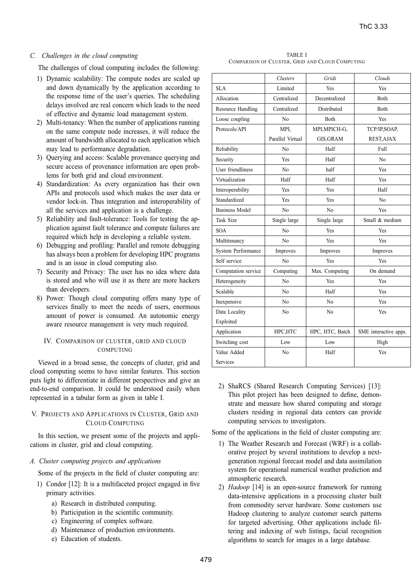#### *C. Challenges in the cloud computing*

The challenges of cloud computing includes the following:

- 1) Dynamic scalability: The compute nodes are scaled up and down dynamically by the application according to the response time of the user's queries. The scheduling delays involved are real concern which leads to the need of effective and dynamic load management system.
- 2) Multi-tenancy: When the number of applications running on the same compute node increases, it will reduce the amount of bandwidth allocated to each application which may lead to performance degradation.
- 3) Querying and access: Scalable provenance querying and secure access of provenance information are open problems for both grid and cloud environment.
- 4) Standardization: As every organization has their own APIs and protocols used which makes the user data or vendor lock-in. Thus integration and interoperability of all the services and application is a challenge.
- 5) Reliability and fault-tolerance: Tools for testing the application against fault tolerance and compute failures are required which help in developing a reliable system.
- 6) Debugging and profiling: Parallel and remote debugging has always been a problem for developing HPC programs and is an issue in cloud computing also.
- 7) Security and Privacy: The user has no idea where data is stored and who will use it as there are more hackers than developers.
- 8) Power: Though cloud computing offers many type of services finally to meet the needs of users, enormous amount of power is consumed. An autonomic energy aware resource management is very much required.

# IV. COMPARISON OF CLUSTER, GRID AND CLOUD COMPUTING

Viewed in a broad sense, the concepts of cluster, grid and cloud computing seems to have similar features. This section puts light to differentiate in different perspectives and give an end-to-end comparison. It could be understood easily when represented in a tabular form as given in table I.

# V. PROJECTS AND APPLICATIONS IN CLUSTER, GRID AND CLOUD COMPUTING

In this section, we present some of the projects and applications in cluster, grid and cloud computing.

#### *A. Cluster computing projects and applications*

Some of the projects in the field of cluster computing are:

- 1) Condor [12]: It is a multifaceted project engaged in five primary activities.
	- a) Research in distributed computing.
	- b) Participation in the scientific community.
	- c) Engineering of complex software.
	- d) Maintenance of production environments.
	- e) Education of students.

TABLE I COMPARISON OF CLUSTER, GRID AND CLOUD COMPUTING

|                       | <b>Clusters</b>  | Grids           | Clouds                |
|-----------------------|------------------|-----------------|-----------------------|
| <b>SLA</b>            | Limited          | Yes             | <b>Yes</b>            |
| Allocation            | Centralized      | Decentralized   | Both                  |
| Resource Handling     | Centralized      | Distributed     | Both                  |
| Loose coupling        | N <sub>0</sub>   | <b>Both</b>     | Yes                   |
| Protocols/API         | MPI.             | MPI, MPICH-G,   | TCP/IP, SOAP,         |
|                       | Parallel Virtual | GIS, GRAM       | REST, AJAX            |
| Reliability           | No.              | Half            | Full                  |
| Security              | Yes              | Half            | N <sub>0</sub>        |
| User friendliness     | N <sub>0</sub>   | half            | Yes                   |
| Virtualization        | Half             | Half            | <b>Yes</b>            |
| Interoperability      | Yes              | Yes             | Half                  |
| Standardized          | Yes              | Yes             | N <sub>0</sub>        |
| <b>Business Model</b> | N <sub>0</sub>   | N <sub>0</sub>  | <b>Yes</b>            |
| <b>Task Size</b>      | Single large     | Single large    | Small & medium        |
| <b>SOA</b>            | No               | Yes             | <b>Yes</b>            |
| Multitenancy          | N <sub>0</sub>   | Yes             | <b>Yes</b>            |
| System Performance    | Improves         | Improves        | Improves              |
| Self service          | No               | Yes             | Yes                   |
| Computation service   | Computing        | Max. Computing  | On demand             |
| Heterogeneity         | N <sub>0</sub>   | Yes             | Yes                   |
| Scalable              | N <sub>0</sub>   | Half            | <b>Yes</b>            |
| Inexpensive           | No               | N <sub>0</sub>  | Yes                   |
| Data Locality         | N <sub>0</sub>   | N <sub>0</sub>  | Yes                   |
| Exploited             |                  |                 |                       |
| Application           | HPC,HTC          | HPC, HTC, Batch | SME interactive apps. |
| Switching cost        | Low              | Low             | High                  |
| Value Added           | N <sub>0</sub>   | Half            | Yes                   |
| Services              |                  |                 |                       |

2) ShaRCS (Shared Research Computing Services) [13]: This pilot project has been designed to define, demonstrate and measure how shared computing and storage clusters residing in regional data centers can provide computing services to investigators.

Some of the applications in the field of cluster computing are:

- 1) The Weather Research and Forecast (WRF) is a collaborative project by several institutions to develop a nextgeneration regional forecast model and data assimilation system for operational numerical weather prediction and atmospheric research.
- 2) *Hadoop* [14] is an open-source framework for running data-intensive applications in a processing cluster built from commodity server hardware. Some customers use Hadoop clustering to analyze customer search patterns for targeted advertising. Other applications include filtering and indexing of web listings, facial recognition algorithms to search for images in a large database.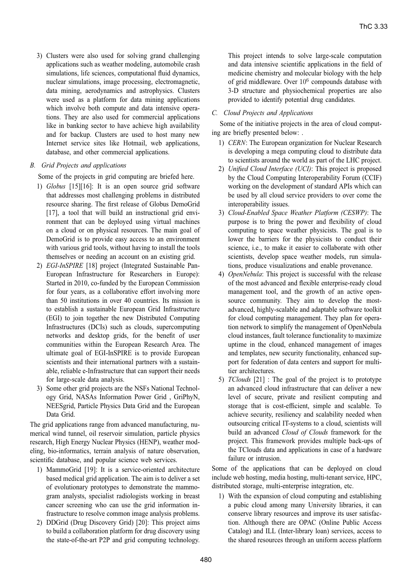3) Clusters were also used for solving grand challenging applications such as weather modeling, automobile crash simulations, life sciences, computational fluid dynamics, nuclear simulations, image processing, electromagnetic, data mining, aerodynamics and astrophysics. Clusters were used as a platform for data mining applications which involve both compute and data intensive operations. They are also used for commercial applications like in banking sector to have achieve high availability and for backup. Clusters are used to host many new Internet service sites like Hotmail, web applications, database, and other commercial applications.

## *B. Grid Projects and applications*

Some of the projects in grid computing are briefed here.

- 1) *Globus* [15][16]: It is an open source grid software that addresses most challenging problems in distributed resource sharing. The first release of Globus DemoGrid [17], a tool that will build an instructional grid environment that can be deployed using virtual machines on a cloud or on physical resources. The main goal of DemoGrid is to provide easy access to an environment with various grid tools, without having to install the tools themselves or needing an account on an existing grid.
- 2) *EGI-InSPIRE* [18] project (Integrated Sustainable Pan-European Infrastructure for Researchers in Europe): Started in 2010, co-funded by the European Commission for four years, as a collaborative effort involving more than 50 institutions in over 40 countries. Its mission is to establish a sustainable European Grid Infrastructure (EGI) to join together the new Distributed Computing Infrastructures (DCIs) such as clouds, supercomputing networks and desktop grids, for the benefit of user communities within the European Research Area. The ultimate goal of EGI-InSPIRE is to provide European scientists and their international partners with a sustainable, reliable e-Infrastructure that can support their needs for large-scale data analysis.
- 3) Some other grid projects are the NSFs National Technology Grid, NASAs Information Power Grid , GriPhyN, NEESgrid, Particle Physics Data Grid and the European Data Grid.

The grid applications range from advanced manufacturing, numerical wind tunnel, oil reservoir simulation, particle physics research, High Energy Nuclear Physics (HENP), weather modeling, bio-informatics, terrain analysis of nature observation, scientific database, and popular science web services.

- 1) MammoGrid [19]: It is a service-oriented architecture based medical grid application. The aim is to deliver a set of evolutionary prototypes to demonstrate the mammogram analysts, specialist radiologists working in breast cancer screening who can use the grid information infrastructure to resolve common image analysis problems.
- 2) DDGrid (Drug Discovery Grid) [20]: This project aims to build a collaboration platform for drug discovery using the state-of-the-art P2P and grid computing technology.

This project intends to solve large-scale computation and data intensive scientific applications in the field of medicine chemistry and molecular biology with the help of grid middleware. Over  $10^6$  compounds database with 3-D structure and physiochemical properties are also provided to identify potential drug candidates.

#### *C. Cloud Projects and Applications*

Some of the initiative projects in the area of cloud computing are briefly presented below: .

- 1) *CERN*: The European organization for Nuclear Research is developing a mega computing cloud to distribute data to scientists around the world as part of the LHC project.
- 2) *Unified Cloud Interface (UCI)*: This project is proposed by the Cloud Computing Interoperability Forum (CCIF) working on the development of standard APIs which can be used by all cloud service providers to over come the interoperability issues.
- 3) *Cloud-Enabled Space Weather Platform (CESWP)*: The purpose is to bring the power and flexibility of cloud computing to space weather physicists. The goal is to lower the barriers for the physicists to conduct their science, i.e., to make it easier to collaborate with other scientists, develop space weather models, run simulations, produce visualizations and enable provenance.
- 4) *OpenNebula*: This project is successful with the release of the most advanced and flexible enterprise-ready cloud management tool, and the growth of an active opensource community. They aim to develop the mostadvanced, highly-scalable and adaptable software toolkit for cloud computing management. They plan for operation network to simplify the management of OpenNebula cloud instances, fault tolerance functionality to maximize uptime in the cloud, enhanced management of images and templates, new security functionality, enhanced support for federation of data centers and support for multitier architectures.
- 5) *TClouds* [21] : The goal of the project is to prototype an advanced cloud infrastructure that can deliver a new level of secure, private and resilient computing and storage that is cost-efficient, simple and scalable. To achieve security, resiliency and scalability needed when outsourcing critical IT-systems to a cloud, scientists will build an advanced *Cloud of Clouds* framework for the project. This framework provides multiple back-ups of the TClouds data and applications in case of a hardware failure or intrusion.

Some of the applications that can be deployed on cloud include web hosting, media hosting, multi-tenant service, HPC, distributed storage, multi-enterprise integration, etc.

1) With the expansion of cloud computing and establishing a pubic cloud among many University libraries, it can conserve library resources and improve its user satisfaction. Although there are OPAC (Online Public Access Catalog) and ILL (Inter-library loan) services, access to the shared resources through an uniform access platform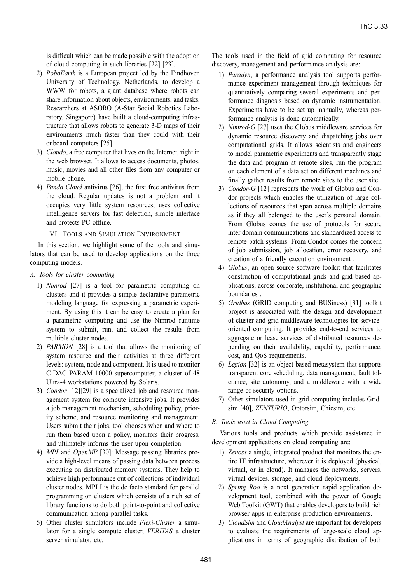is difficult which can be made possible with the adoption of cloud computing in such libraries [22] [23].

- 2) *RoboEarth* is a European project led by the Eindhoven University of Technology, Netherlands, to develop a WWW for robots, a giant database where robots can share information about objects, environments, and tasks. Researchers at ASORO (A-Star Social Robotics Laboratory, Singapore) have built a cloud-computing infrastructure that allows robots to generate 3-D maps of their environments much faster than they could with their onboard computers [25].
- 3) *Cloudo*, a free computer that lives on the Internet, right in the web browser. It allows to access documents, photos, music, movies and all other files from any computer or mobile phone.
- 4) *Panda Cloud* antivirus [26], the first free antivirus from the cloud. Regular updates is not a problem and it occupies very little system resources, uses collective intelligence servers for fast detection, simple interface and protects PC offline.

## VI. TOOLS AND SIMULATION ENVIRONMENT

In this section, we highlight some of the tools and simulators that can be used to develop applications on the three computing models.

#### *A. Tools for cluster computing*

- 1) *Nimrod* [27] is a tool for parametric computing on clusters and it provides a simple declarative parametric modeling language for expressing a parametric experiment. By using this it can be easy to create a plan for a parametric computing and use the Nimrod runtime system to submit, run, and collect the results from multiple cluster nodes.
- 2) *PARMON* [28] is a tool that allows the monitoring of system resource and their activities at three different levels: system, node and component. It is used to monitor C-DAC PARAM 10000 supercomputer, a cluster of 48 Ultra-4 workstations powered by Solaris.
- 3) *Condor* [12][29] is a specialized job and resource management system for compute intensive jobs. It provides a job management mechanism, scheduling policy, priority scheme, and resource monitoring and management. Users submit their jobs, tool chooses when and where to run them based upon a policy, monitors their progress, and ultimately informs the user upon completion.
- 4) *MPI* and *OpenMP* [30]: Message passing libraries provide a high-level means of passing data between process executing on distributed memory systems. They help to achieve high performance out of collections of individual cluster nodes. MPI I is the de facto standard for parallel programming on clusters which consists of a rich set of library functions to do both point-to-point and collective communication among parallel tasks.
- 5) Other cluster simulators include *Flexi-Cluster* a simulator for a single compute cluster, *VERITAS* a cluster server simulator, etc.

The tools used in the field of grid computing for resource discovery, management and performance analysis are:

- 1) *Paradyn*, a performance analysis tool supports performance experiment management through techniques for quantitatively comparing several experiments and performance diagnosis based on dynamic instrumentation. Experiments have to be set up manually, whereas performance analysis is done automatically.
- 2) *Nimrod-G* [27] uses the Globus middleware services for dynamic resource discovery and dispatching jobs over computational grids. It allows scientists and engineers to model parametric experiments and transparently stage the data and program at remote sites, run the program on each element of a data set on different machines and finally gather results from remote sites to the user site.
- 3) *Condor-G* [12] represents the work of Globus and Condor projects which enables the utilization of large collections of resources that span across multiple domains as if they all belonged to the user's personal domain. From Globus comes the use of protocols for secure inter domain communications and standardized access to remote batch systems. From Condor comes the concern of job submission, job allocation, error recovery, and creation of a friendly execution environment .
- 4) *Globus*, an open source software toolkit that facilitates construction of computational grids and grid based applications, across corporate, institutional and geographic boundaries .
- 5) *Gridbus* (GRID computing and BUSiness) [31] toolkit project is associated with the design and development of cluster and grid middleware technologies for serviceoriented computing. It provides end-to-end services to aggregate or lease services of distributed resources depending on their availability, capability, performance, cost, and QoS requirements.
- 6) *Legion* [32] is an object-based metasystem that supports transparent core scheduling, data management, fault tolerance, site autonomy, and a middleware with a wide range of security options.
- 7) Other simulators used in grid computing includes Gridsim [40], *ZENTURIO*, Optorsim, Chicsim, etc.

## *B. Tools used in Cloud Computing*

Various tools and products which provide assistance in development applications on cloud computing are:

- 1) *Zenoss* a single, integrated product that monitors the entire IT infrastructure, wherever it is deployed (physical, virtual, or in cloud). It manages the networks, servers, virtual devices, storage, and cloud deployments.
- 2) *Spring Roo* is a next generation rapid application development tool, combined with the power of Google Web Toolkit (GWT) that enables developers to build rich browser apps in enterprise production environments.
- 3) *CloudSim* and *CloudAnalyst* are important for developers to evaluate the requirements of large-scale cloud applications in terms of geographic distribution of both